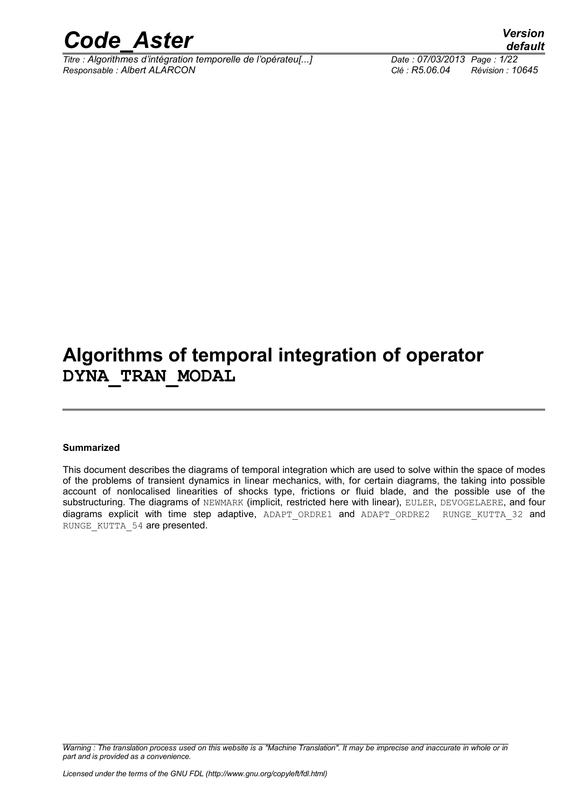

*Titre : Algorithmes d'intégration temporelle de l'opérateu[...] Date : 07/03/2013 Page : 1/22 Responsable : Albert ALARCON Clé : R5.06.04 Révision : 10645*

*default*

### **Algorithms of temporal integration of operator DYNA\_TRAN\_MODAL**

#### **Summarized**

This document describes the diagrams of temporal integration which are used to solve within the space of modes of the problems of transient dynamics in linear mechanics, with, for certain diagrams, the taking into possible account of nonlocalised linearities of shocks type, frictions or fluid blade, and the possible use of the substructuring. The diagrams of NEWMARK (implicit, restricted here with linear), EULER, DEVOGELAERE, and four diagrams explicit with time step adaptive, ADAPT ORDRE1 and ADAPT ORDRE2 RUNGE KUTTA 32 and RUNGE\_KUTTA\_54 are presented.

*Warning : The translation process used on this website is a "Machine Translation". It may be imprecise and inaccurate in whole or in part and is provided as a convenience.*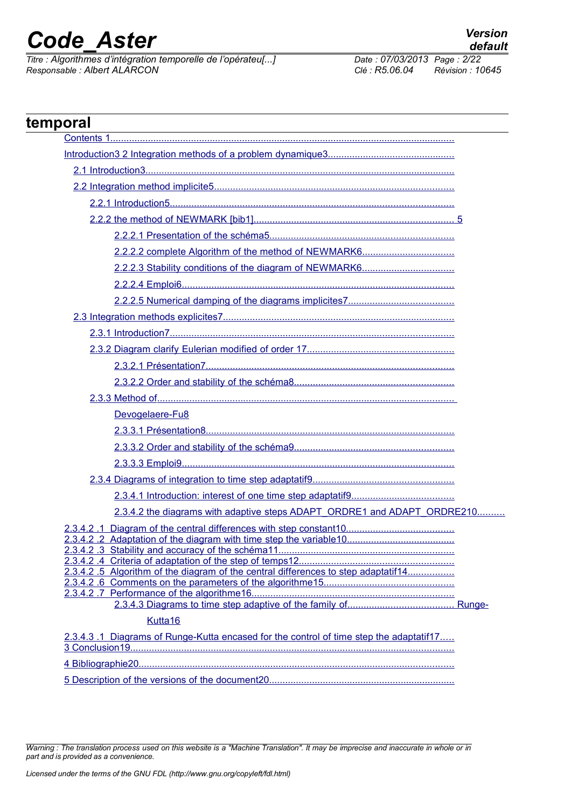*Titre : Algorithmes d'intégration temporelle de l'opérateu[...] Date : 07/03/2013 Page : 2/22 Responsable : Albert ALARCON Clé : R5.06.04 Révision : 10645*

| temporal                                                                                |  |
|-----------------------------------------------------------------------------------------|--|
|                                                                                         |  |
|                                                                                         |  |
|                                                                                         |  |
|                                                                                         |  |
|                                                                                         |  |
|                                                                                         |  |
|                                                                                         |  |
|                                                                                         |  |
|                                                                                         |  |
|                                                                                         |  |
|                                                                                         |  |
|                                                                                         |  |
|                                                                                         |  |
|                                                                                         |  |
|                                                                                         |  |
|                                                                                         |  |
|                                                                                         |  |
| Devogelaere-Fu8                                                                         |  |
|                                                                                         |  |
|                                                                                         |  |
|                                                                                         |  |
|                                                                                         |  |
|                                                                                         |  |
| 2.3.4.2 the diagrams with adaptive steps ADAPT_ORDRE1 and ADAPT_ORDRE210                |  |
|                                                                                         |  |
|                                                                                         |  |
| 2.3.4.2 .5 Algorithm of the diagram of the central differences to step adaptatif14      |  |
|                                                                                         |  |
|                                                                                         |  |
| Kutta16                                                                                 |  |
| 2.3.4.3 .1 Diagrams of Runge-Kutta encased for the control of time step the adaptatif17 |  |
|                                                                                         |  |
|                                                                                         |  |

*Warning : The translation process used on this website is a "Machine Translation". It may be imprecise and inaccurate in whole or in part and is provided as a convenience.*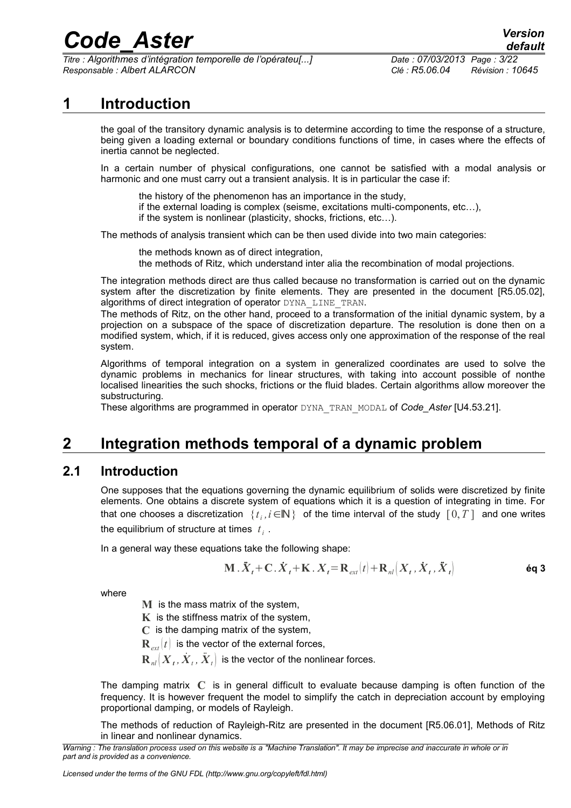*Titre : Algorithmes d'intégration temporelle de l'opérateu[...] Date : 07/03/2013 Page : 3/22 Responsable : Albert ALARCON Clé : R5.06.04 Révision : 10645*

*default*

### **1 Introduction**

<span id="page-2-0"></span>the goal of the transitory dynamic analysis is to determine according to time the response of a structure, being given a loading external or boundary conditions functions of time, in cases where the effects of inertia cannot be neglected.

In a certain number of physical configurations, one cannot be satisfied with a modal analysis or harmonic and one must carry out a transient analysis. It is in particular the case if:

the history of the phenomenon has an importance in the study,

if the external loading is complex (seisme, excitations multi-components, etc…),

if the system is nonlinear (plasticity, shocks, frictions, etc…).

The methods of analysis transient which can be then used divide into two main categories:

the methods known as of direct integration,

the methods of Ritz, which understand inter alia the recombination of modal projections.

The integration methods direct are thus called because no transformation is carried out on the dynamic system after the discretization by finite elements. They are presented in the document [R5.05.02], algorithms of direct integration of operator DYNA\_LINE\_TRAN.

The methods of Ritz, on the other hand, proceed to a transformation of the initial dynamic system, by a projection on a subspace of the space of discretization departure. The resolution is done then on a modified system, which, if it is reduced, gives access only one approximation of the response of the real system.

Algorithms of temporal integration on a system in generalized coordinates are used to solve the dynamic problems in mechanics for linear structures, with taking into account possible of nonthe localised linearities the such shocks, frictions or the fluid blades. Certain algorithms allow moreover the substructuring.

<span id="page-2-2"></span>These algorithms are programmed in operator DYNA\_TRAN\_MODAL of *Code\_Aster* [U4.53.21].

### **2 Integration methods temporal of a dynamic problem**

### **2.1 Introduction**

<span id="page-2-1"></span>One supposes that the equations governing the dynamic equilibrium of solids were discretized by finite elements. One obtains a discrete system of equations which it is a question of integrating in time. For that one chooses a discretization  $\{t_i, i \in \mathbb{N}\}$  of the time interval of the study  $[\,0,T\,]$  and one writes the equilibrium of structure at times  $|t_i|$ .

In a general way these equations take the following shape:

$$
\mathbf{M} \cdot \ddot{X}_t + \mathbf{C} \cdot \dot{X}_t + \mathbf{K} \cdot X_t = \mathbf{R}_{ext}(t) + \mathbf{R}_{nl} \left( X_t, \dot{X}_t, \ddot{X}_t \right)
$$

where

**M** is the mass matrix of the system,

**K** is the stiffness matrix of the system,

**C** is the damping matrix of the system,

 $\mathbf{R}_{ext}(t)$  is the vector of the external forces,

 $\mathbf{R}_{\textit{nl}}\big(\boldsymbol{X}_t, \dot{\boldsymbol{X}}_t, \ddot{\boldsymbol{X}}_t\big)$  is the vector of the nonlinear forces.

The damping matrix **C** is in general difficult to evaluate because damping is often function of the frequency. It is however frequent the model to simplify the catch in depreciation account by employing proportional damping, or models of Rayleigh.

The methods of reduction of Rayleigh-Ritz are presented in the document [R5.06.01], Methods of Ritz in linear and nonlinear dynamics.

*Warning : The translation process used on this website is a "Machine Translation". It may be imprecise and inaccurate in whole or in part and is provided as a convenience.*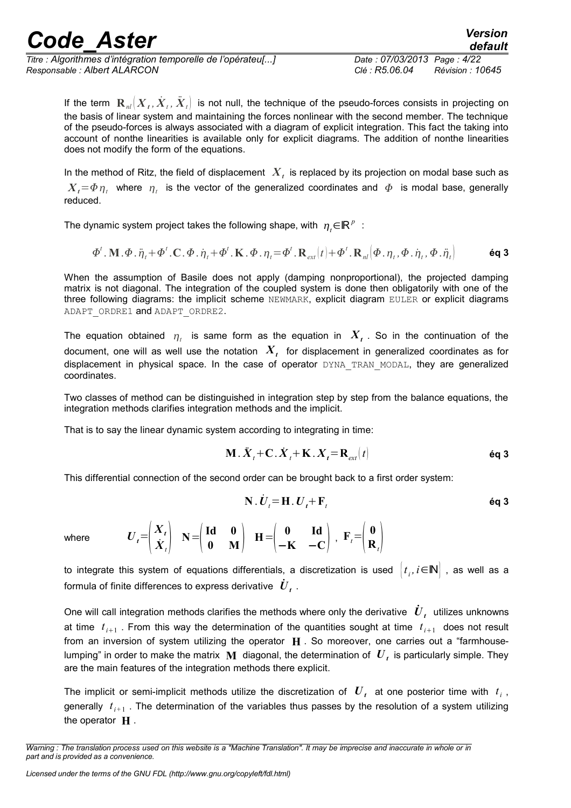*Titre : Algorithmes d'intégration temporelle de l'opérateu[...] Date : 07/03/2013 Page : 4/22 Responsable : Albert ALARCON Clé : R5.06.04 Révision : 10645*

*default*

If the term  $\;{\bf R}_{nl}|\bm{X}_t,\dot{\bm{X}}_t,\ddot{\bm{X}}_t|$  is not null, the technique of the pseudo-forces consists in projecting on the basis of linear system and maintaining the forces nonlinear with the second member. The technique of the pseudo-forces is always associated with a diagram of explicit integration. This fact the taking into account of nonthe linearities is available only for explicit diagrams. The addition of nonthe linearities does not modify the form of the equations.

In the method of Ritz, the field of displacement  $\left| X_{t}\right|$  is replaced by its projection on modal base such as  $X_t$ = $\Phi$  $\eta_t$  where  $\eta_t$  is the vector of the generalized coordinates and  $\,\Phi\,$  is modal base, generally reduced.

The dynamic system project takes the following shape, with  $\left. \eta_i^{}{\in}{\mathbb R}^p \right.$  :

$$
\boldsymbol{\Phi}^t. \mathbf{M.} \boldsymbol{\Phi}. \dot{\boldsymbol{\eta}}_t + \boldsymbol{\Phi}^t. \mathbf{C.} \boldsymbol{\Phi}. \dot{\boldsymbol{\eta}}_t + \boldsymbol{\Phi}^t. \mathbf{K.} \boldsymbol{\Phi}. \boldsymbol{\eta}_t = \boldsymbol{\Phi}^t. \mathbf{R}_{ext}(t) + \boldsymbol{\Phi}^t. \mathbf{R}_{nl} \left(\boldsymbol{\Phi}. \boldsymbol{\eta}_t, \boldsymbol{\Phi}. \dot{\boldsymbol{\eta}}_t, \boldsymbol{\Phi}. \dot{\boldsymbol{\eta}}_t\right)
$$

When the assumption of Basile does not apply (damping nonproportional), the projected damping matrix is not diagonal. The integration of the coupled system is done then obligatorily with one of the three following diagrams: the implicit scheme NEWMARK, explicit diagram EULER or explicit diagrams ADAPT\_ORDRE1 and ADAPT\_ORDRE2.

The equation obtained  $\eta_t$  is same form as the equation in  $\boldsymbol{X}_t$  . So in the continuation of the document, one will as well use the notation  $\,X_{t}\,$  for displacement in generalized coordinates as for displacement in physical space. In the case of operator DYNA TRAN MODAL, they are generalized coordinates.

Two classes of method can be distinguished in integration step by step from the balance equations, the integration methods clarifies integration methods and the implicit.

That is to say the linear dynamic system according to integrating in time:

$$
\mathbf{M}.\ddot{\mathbf{X}}_t + \mathbf{C}.\dot{\mathbf{X}}_t + \mathbf{K}.\mathbf{X}_t = \mathbf{R}_{ext}(t)
$$

This differential connection of the second order can be brought back to a first order system:

$$
\mathbf{N} \cdot \dot{\mathbf{U}}_t = \mathbf{H} \cdot \mathbf{U}_t + \mathbf{F}_t \tag{6q 3}
$$

where  $U_{t} = \begin{pmatrix} X_{t} \ X_{t} \end{pmatrix}$  $\begin{bmatrix} X_t \\ \dot{X}_t \end{bmatrix}$   $N = \begin{bmatrix} Id & 0 \\ 0 & M \end{bmatrix}$  $\begin{bmatrix} \mathbf{d} & \mathbf{0} \\ \mathbf{0} & \mathbf{M} \end{bmatrix}$  **H**= $\begin{bmatrix} \mathbf{0} & \mathbf{Id} \\ -\mathbf{K} & -\mathbf{C} \end{bmatrix}$  $\begin{bmatrix} 0 & \mathbf{Id} \\ -\mathbf{K} & -\mathbf{C} \end{bmatrix}$ ,  $\mathbf{F}_t = \begin{bmatrix} 0 \\ \mathbf{R} \end{bmatrix}$  $\mathbf{R}_{t}$ 

to integrate this system of equations differentials, a discretization is used  $\big|t_i,i\!\in\!\mathbb{N}\big|$  , as well as a formula of finite differences to express derivative  $\left| {{{\dot U}_t}} \right\rangle$ 

One will call integration methods clarifies the methods where only the derivative  $\left| \dot{\bm{U}}_t \right|$  utilizes unknowns at time  $t_{i+1}$  . From this way the determination of the quantities sought at time  $t_{i+1}$  does not result from an inversion of system utilizing the operator **H** . So moreover, one carries out a "farmhouselumping" in order to make the matrix  $~\mathbf{M}~$  diagonal, the determination of  $~\bm{U}_{\bm{t}}$  is particularly simple. They are the main features of the integration methods there explicit.

The implicit or semi-implicit methods utilize the discretization of  $|U_{t}|$  at one posterior time with  $|t_{i}|$ , generally  $t_{i+1}$  . The determination of the variables thus passes by the resolution of a system utilizing the operator **H** .

*Warning : The translation process used on this website is a "Machine Translation". It may be imprecise and inaccurate in whole or in part and is provided as a convenience.*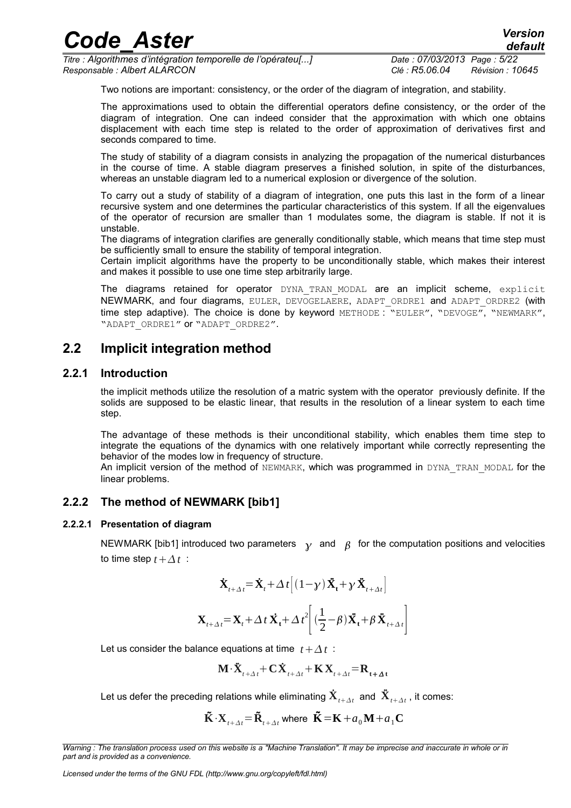*Titre : Algorithmes d'intégration temporelle de l'opérateu[...] Date : 07/03/2013 Page : 5/22 Responsable : Albert ALARCON Clé : R5.06.04 Révision : 10645*

*default*

Two notions are important: consistency, or the order of the diagram of integration, and stability.

The approximations used to obtain the differential operators define consistency, or the order of the diagram of integration. One can indeed consider that the approximation with which one obtains displacement with each time step is related to the order of approximation of derivatives first and seconds compared to time.

The study of stability of a diagram consists in analyzing the propagation of the numerical disturbances in the course of time. A stable diagram preserves a finished solution, in spite of the disturbances, whereas an unstable diagram led to a numerical explosion or divergence of the solution.

To carry out a study of stability of a diagram of integration, one puts this last in the form of a linear recursive system and one determines the particular characteristics of this system. If all the eigenvalues of the operator of recursion are smaller than 1 modulates some, the diagram is stable. If not it is unstable.

The diagrams of integration clarifies are generally conditionally stable, which means that time step must be sufficiently small to ensure the stability of temporal integration.

Certain implicit algorithms have the property to be unconditionally stable, which makes their interest and makes it possible to use one time step arbitrarily large.

The diagrams retained for operator DYNA TRAN MODAL are an implicit scheme, explicit NEWMARK, and four diagrams, EULER, DEVOGELAERE, ADAPT\_ORDRE1 and ADAPT\_ORDRE2 (with time step adaptive). The choice is done by keyword METHODE : "EULER", "DEVOGE", "NEWMARK", "ADAPT\_ORDRE1" or "ADAPT\_ORDRE2".

### <span id="page-4-3"></span>**2.2 Implicit integration method**

#### **2.2.1 Introduction**

<span id="page-4-2"></span>the implicit methods utilize the resolution of a matric system with the operator previously definite. If the solids are supposed to be elastic linear, that results in the resolution of a linear system to each time step.

The advantage of these methods is their unconditional stability, which enables them time step to integrate the equations of the dynamics with one relatively important while correctly representing the behavior of the modes low in frequency of structure.

<span id="page-4-1"></span>An implicit version of the method of NEWMARK, which was programmed in DYNA\_TRAN\_MODAL for the linear problems.

#### **2.2.2 The method of NEWMARK [bib1]**

#### **2.2.2.1 Presentation of diagram**

<span id="page-4-0"></span>NEWMARK [bib1] introduced two parameters  $v$  and  $\beta$  for the computation positions and velocities to time step  $t + \Delta t$ :

$$
\dot{\mathbf{X}}_{t+\Delta t} = \dot{\mathbf{X}}_t + \Delta t \left[ (1-\gamma) \ddot{\mathbf{X}}_t + \gamma \ddot{\mathbf{X}}_{t+\Delta t} \right]
$$
\n
$$
\mathbf{X}_{t+\Delta t} = \mathbf{X}_t + \Delta t \dot{\mathbf{X}}_t + \Delta t^2 \left[ (\frac{1}{2} - \beta) \ddot{\mathbf{X}}_t + \beta \ddot{\mathbf{X}}_{t+\Delta t} \right]
$$

Let us consider the balance equations at time  $t + \Delta t$ :

$$
\mathbf{M} \cdot \ddot{\mathbf{X}}_{t+\Delta t} + \mathbf{C} \dot{\mathbf{X}}_{t+\Delta t} + \mathbf{K} \mathbf{X}_{t+\Delta t} = \mathbf{R}_{t+\Delta t}
$$

Let us defer the preceding relations while eliminating  $\bold{\dot{X}}_{t+\varDelta t}$  and  $\bold{\ddot{X}}_{t+\varDelta t}$  , it comes:

$$
\tilde{\mathbf{K}} \cdot \mathbf{X}_{t + \Delta t} = \tilde{\mathbf{R}}_{t + \Delta t} \text{ where } \tilde{\mathbf{K}} = \mathbf{K} + a_0 \mathbf{M} + a_1 \mathbf{C}
$$

*Warning : The translation process used on this website is a "Machine Translation". It may be imprecise and inaccurate in whole or in part and is provided as a convenience.*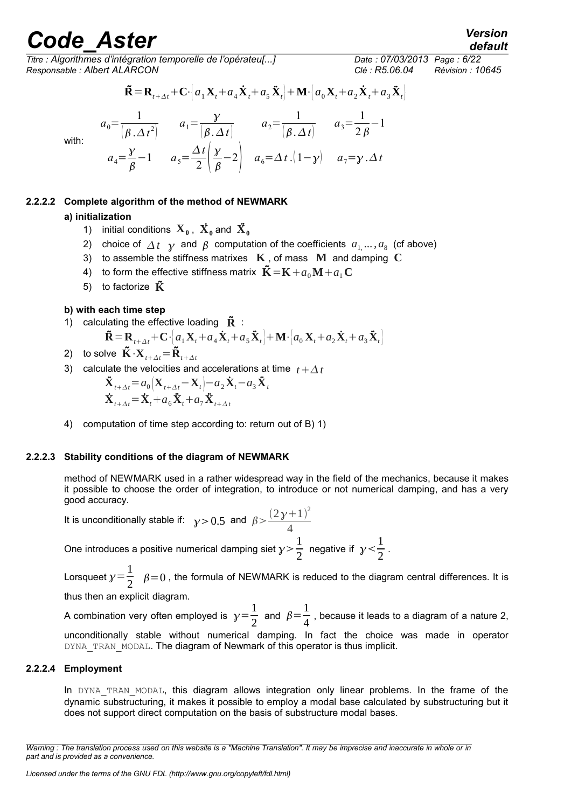*Titre : Algorithmes d'intégration temporelle de l'opérateu[...] Date : 07/03/2013 Page : 6/22 Responsable : Albert ALARCON Clé : R5.06.04 Révision : 10645*

$$
\tilde{\mathbf{R}} = \mathbf{R}_{t+\Delta t} + \mathbf{C} \cdot \left[ a_1 \mathbf{X}_t + a_4 \dot{\mathbf{X}}_t + a_5 \ddot{\mathbf{X}}_t \right] + \mathbf{M} \cdot \left[ a_0 \mathbf{X}_t + a_2 \dot{\mathbf{X}}_t + a_3 \ddot{\mathbf{X}}_t \right]
$$

 $\frac{1}{(\beta \cdot \Delta t)}$   $a_3 = \frac{1}{2}$ 

 $2\beta$ −1

with:

$$
a_0 = \frac{1}{(\beta \cdot \Delta t^2)} \qquad a_1 = \frac{y}{(\beta \cdot \Delta t)} \qquad a_2 = \frac{1}{(\beta \cdot \Delta t)} \qquad a_3 = \frac{1}{2\beta} - 1
$$
  

$$
a_4 = \frac{y}{\beta} - 1 \qquad a_5 = \frac{\Delta t}{2} \left(\frac{y}{\beta} - 2\right) \qquad a_6 = \Delta t \cdot (1 - y) \qquad a_7 = y \cdot \Delta t
$$

 $\frac{\gamma}{(\beta.\Delta t)}$   $a_2 = \frac{1}{(\beta.\Delta t)}$ 

#### **2.2.2.2 Complete algorithm of the method of NEWMARK**

#### <span id="page-5-2"></span>**a) initialization**

- 1) initial conditions  $X_0$ ,  $\dot{X}_0$  and  $\ddot{X}_0$
- 2) choice of  $\Delta t$   $\gamma$  and  $\beta$  computation of the coefficients  $a_1, ..., a_8$  (cf above)
- 3) to assemble the stiffness matrixes **K** , of mass **M** and damping **C**
- 4) to form the effective stiffness matrix  $\tilde{\mathbf{K}} = \mathbf{K} + a_0 \mathbf{M} + a_1 \mathbf{C}$
- 5) to factorize  $\tilde{\mathbf{K}}$

 $a_0 = \frac{1}{\sqrt{2}}$ 

#### **b) with each time step**

1) calculating the effective loading  $\tilde{\mathbf{R}}$  :

$$
\tilde{\mathbf{R}} = \mathbf{R}_{t+\Delta t} + \mathbf{C} \cdot \left[ a_1 \mathbf{X}_t + a_4 \mathbf{X}_t + a_5 \mathbf{X}_t \right] + \mathbf{M} \cdot \left[ a_0 \mathbf{X}_t + a_2 \mathbf{X}_t + a_3 \mathbf{X}_t \right]
$$

- 2) to solve  $\mathbf{\tilde{K}}\!\cdot\!\mathbf{X}_{t+\varDelta t}\!=\!\mathbf{\tilde{R}}_{t+\varDelta t}$
- 3) calculate the velocities and accelerations at time  $t + \Delta t$

$$
\ddot{\mathbf{X}}_{t+\Delta t} = a_0 \left( \mathbf{X}_{t+\Delta t} - \mathbf{X}_t \right) - a_2 \dot{\mathbf{X}}_t - a_3 \ddot{\mathbf{X}}_t
$$
\n
$$
\dot{\mathbf{X}}_{t+\Delta t} = \dot{\mathbf{X}}_t + a_6 \ddot{\mathbf{X}}_t + a_7 \ddot{\mathbf{X}}_{t+\Delta t}
$$

4) computation of time step according to: return out of B) 1)

#### **2.2.2.3 Stability conditions of the diagram of NEWMARK**

<span id="page-5-1"></span>method of NEWMARK used in a rather widespread way in the field of the mechanics, because it makes it possible to choose the order of integration, to introduce or not numerical damping, and has a very good accuracy.

It is unconditionally stable if:  $\gamma$  > 0.5 and  $\beta$  >  $\frac{(2\gamma+1)^2}{4}$ 4

One introduces a positive numerical damping siet  $\gamma$  >  $\frac{1}{2}$ 2 negative if  $y < \frac{1}{2}$  $\frac{1}{2}$ .

Lorsqueet  $y = \frac{1}{2}$  $\frac{2}{2}$   $\beta$  = 0, the formula of NEWMARK is reduced to the diagram central differences. It is thus then an explicit diagram.

A combination very often employed is  $\gamma = \frac{1}{2}$ 2 and  $\beta = \frac{1}{4}$  $\frac{1}{4}$  , because it leads to a diagram of a nature 2, unconditionally stable without numerical damping. In fact the choice was made in operator DYNA TRAN MODAL. The diagram of Newmark of this operator is thus implicit.

#### **2.2.2.4 Employment**

<span id="page-5-0"></span>In DYNA TRAN MODAL, this diagram allows integration only linear problems. In the frame of the dynamic substructuring, it makes it possible to employ a modal base calculated by substructuring but it does not support direct computation on the basis of substructure modal bases.

*default*

*Warning : The translation process used on this website is a "Machine Translation". It may be imprecise and inaccurate in whole or in part and is provided as a convenience.*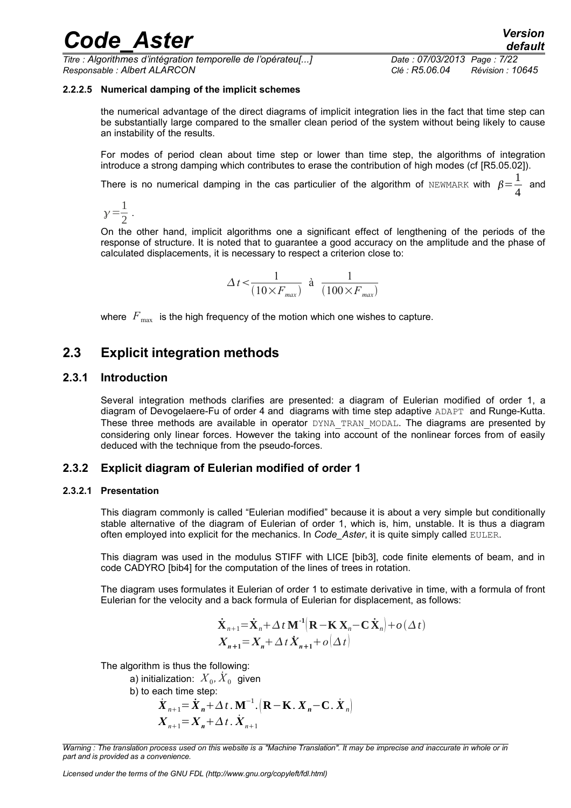*Titre : Algorithmes d'intégration temporelle de l'opérateu[...] Date : 07/03/2013 Page : 7/22 Responsable : Albert ALARCON Clé : R5.06.04 Révision : 10645*

#### **2.2.2.5 Numerical damping of the implicit schemes**

<span id="page-6-4"></span>the numerical advantage of the direct diagrams of implicit integration lies in the fact that time step can be substantially large compared to the smaller clean period of the system without being likely to cause an instability of the results.

For modes of period clean about time step or lower than time step, the algorithms of integration introduce a strong damping which contributes to erase the contribution of high modes (cf [R5.05.02]).

There is no numerical damping in the cas particulier of the algorithm of NEWMARK with  $\beta\!=\! \frac{1}{4}$  $\frac{1}{4}$  and

 $y=\frac{1}{2}$  $\frac{1}{2}$ .

On the other hand, implicit algorithms one a significant effect of lengthening of the periods of the response of structure. It is noted that to guarantee a good accuracy on the amplitude and the phase of calculated displacements, it is necessary to respect a criterion close to:

$$
\Delta t \!<\!\! \frac{1}{(10\!\times\! F_{\textit{max}})}\;\;\mathring{\textbf{a}}\;\;\frac{1}{(100\!\times\! F_{\textit{max}})}
$$

<span id="page-6-3"></span>where  $F_{\text{max}}$  is the high frequency of the motion which one wishes to capture.

### **2.3 Explicit integration methods**

#### **2.3.1 Introduction**

<span id="page-6-2"></span>Several integration methods clarifies are presented: a diagram of Eulerian modified of order 1, a diagram of Devogelaere-Fu of order 4 and diagrams with time step adaptive ADAPT and Runge-Kutta. These three methods are available in operator DYNA\_TRAN\_MODAL. The diagrams are presented by considering only linear forces. However the taking into account of the nonlinear forces from of easily deduced with the technique from the pseudo-forces.

#### <span id="page-6-1"></span>**2.3.2 Explicit diagram of Eulerian modified of order 1**

#### **2.3.2.1 Presentation**

<span id="page-6-0"></span>This diagram commonly is called "Eulerian modified" because it is about a very simple but conditionally stable alternative of the diagram of Eulerian of order 1, which is, him, unstable. It is thus a diagram often employed into explicit for the mechanics. In *Code\_Aster*, it is quite simply called EULER.

This diagram was used in the modulus STIFF with LICE [bib3], code finite elements of beam, and in code CADYRO [bib4] for the computation of the lines of trees in rotation.

The diagram uses formulates it Eulerian of order 1 to estimate derivative in time, with a formula of front Eulerian for the velocity and a back formula of Eulerian for displacement, as follows:

$$
\dot{\mathbf{X}}_{n+1} = \dot{\mathbf{X}}_n + \Delta t \mathbf{M}^{-1} [\mathbf{R} - \mathbf{K} \mathbf{X}_n - \mathbf{C} \dot{\mathbf{X}}_n] + o(\Delta t)
$$
  
\n
$$
X_{n+1} = X_n + \Delta t \dot{X}_{n+1} + o(\Delta t)
$$

The algorithm is thus the following:

a) initialization:  $\overline{X}_0, \dot{\overline{X}}_0$  given b) to each time step:  $\dot{X}_{n+1} = \dot{X}_n + \Delta t \cdot M^{-1} \cdot (R - K \cdot X_n - C \cdot \dot{X}_n)$  $X_{n+1} = X_n + \Delta t \cdot \dot{X}_{n+1}$ 

*Licensed under the terms of the GNU FDL (http://www.gnu.org/copyleft/fdl.html)*

*Warning : The translation process used on this website is a "Machine Translation". It may be imprecise and inaccurate in whole or in part and is provided as a convenience.*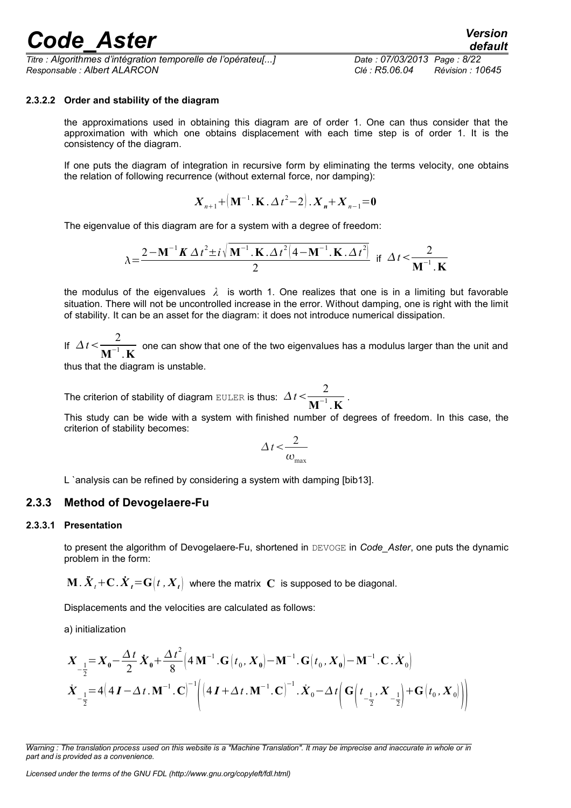*Titre : Algorithmes d'intégration temporelle de l'opérateu[...] Date : 07/03/2013 Page : 8/22 Responsable : Albert ALARCON Clé : R5.06.04 Révision : 10645*

#### **2.3.2.2 Order and stability of the diagram**

<span id="page-7-2"></span>the approximations used in obtaining this diagram are of order 1. One can thus consider that the approximation with which one obtains displacement with each time step is of order 1. It is the consistency of the diagram.

If one puts the diagram of integration in recursive form by eliminating the terms velocity, one obtains the relation of following recurrence (without external force, nor damping):

$$
X_{n+1}
$$
+ $(M^{-1} \cdot K \cdot \Delta t^2 - 2) \cdot X_n + X_{n-1} = 0$ 

The eigenvalue of this diagram are for a system with a degree of freedom:

$$
\lambda = \frac{2 - \mathbf{M}^{-1} \mathbf{K} \, \Delta \, t^2 \pm i \sqrt{\mathbf{M}^{-1} \cdot \mathbf{K} \cdot \Delta \, t^2 \Big( 4 - \mathbf{M}^{-1} \cdot \mathbf{K} \cdot \Delta \, t^2 \Big)}}{2} \text{ if } \Delta \, t < \frac{2}{\mathbf{M}^{-1} \cdot \mathbf{K}}
$$

the modulus of the eigenvalues *λ* is worth 1. One realizes that one is in a limiting but favorable situation. There will not be uncontrolled increase in the error. Without damping, one is right with the limit of stability. It can be an asset for the diagram: it does not introduce numerical dissipation.

If  $\Delta t < \frac{2}{1.5}$  $\overline{\mathbf{M}^{-1}}$  **. K** one can show that one of the two eigenvalues has a modulus larger than the unit and

thus that the diagram is unstable.

The criterion of stability of diagram EULER is thus:  $\Delta t < \frac{2}{\Delta t - 1}$  $\frac{1}{\mathbf{M}^{-1} \cdot \mathbf{K}}$ .

This study can be wide with a system with finished number of degrees of freedom. In this case, the criterion of stability becomes:

$$
\Delta t < \frac{2}{\omega_{\text{max}}}
$$

<span id="page-7-1"></span>L `analysis can be refined by considering a system with damping [bib13].

#### **2.3.3 Method of Devogelaere-Fu**

#### **2.3.3.1 Presentation**

<span id="page-7-0"></span>to present the algorithm of Devogelaere-Fu, shortened in DEVOGE in *Code\_Aster*, one puts the dynamic problem in the form:

 $\mathbf{M}$  .  $\ddot{\bm{X}}_t + \mathbf{C}$  .  $\dot{\bm{X}}_t \! = \! \mathbf{G}\bigl(t$  ,  $\bm{X}_t\bigr\rvert$  where the matrix  $|\mathbf{C}|$  is supposed to be diagonal.

Displacements and the velocities are calculated as follows:

a) initialization

$$
X_{-\frac{1}{2}} = X_0 - \frac{\Delta t}{2} \dot{X}_0 + \frac{\Delta t^2}{8} \Big( 4 \mathbf{M}^{-1} \cdot \mathbf{G} \Big( t_0, X_0 \Big) - \mathbf{M}^{-1} \cdot \mathbf{G} \Big( t_0, X_0 \Big) - \mathbf{M}^{-1} \cdot \mathbf{C} \cdot \dot{X}_0 \Big)
$$
  

$$
\dot{X}_{-\frac{1}{2}} = 4 \Big( 4 \mathbf{I} - \Delta t \cdot \mathbf{M}^{-1} \cdot \mathbf{C} \Big)^{-1} \Big( \Big( 4 \mathbf{I} + \Delta t \cdot \mathbf{M}^{-1} \cdot \mathbf{C} \Big)^{-1} \cdot \dot{X}_0 - \Delta t \Big( \mathbf{G} \Big( t_{-\frac{1}{2}}, X_{-\frac{1}{2}} \Big) + \mathbf{G} \Big( t_0, X_0 \Big) \Big) \Big)
$$

*Warning : The translation process used on this website is a "Machine Translation". It may be imprecise and inaccurate in whole or in part and is provided as a convenience.*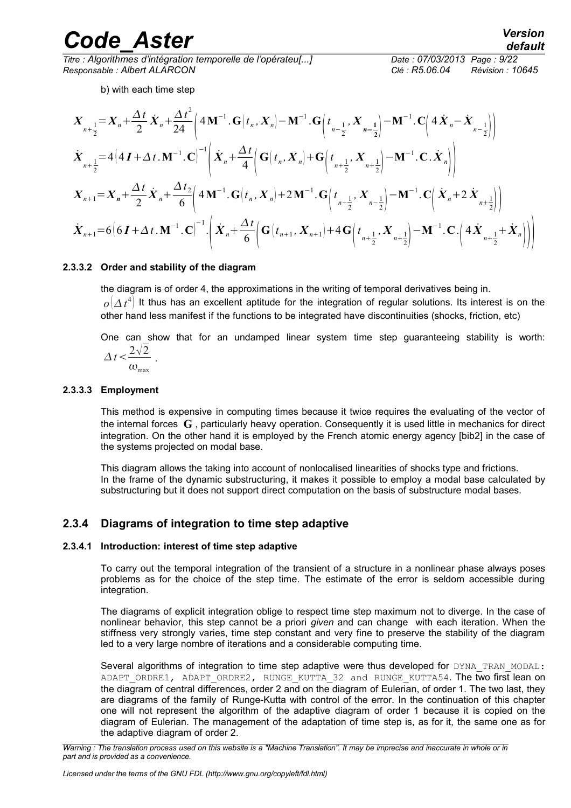*Titre : Algorithmes d'intégration temporelle de l'opérateu[...] Date : 07/03/2013 Page : 9/22 Responsable : Albert ALARCON Clé : R5.06.04 Révision : 10645*

b) with each time step

$$
X_{n+\frac{1}{2}} = X_{n} + \frac{\Delta t}{2} \dot{X}_{n} + \frac{\Delta t^{2}}{24} \left( 4 \mathbf{M}^{-1} \cdot \mathbf{G} \Big( t_{n}, X_{n} \Big) - \mathbf{M}^{-1} \cdot \mathbf{G} \Big( t_{n-\frac{1}{2}}, X_{n-\frac{1}{2}} \Big) - \mathbf{M}^{-1} \cdot \mathbf{C} \Big( 4 \dot{X}_{n} - \dot{X}_{n-\frac{1}{2}} \Big) \right)
$$
  
\n
$$
\dot{X}_{n+\frac{1}{2}} = 4 \Big( 4 \mathbf{I} + \Delta t \cdot \mathbf{M}^{-1} \cdot \mathbf{C} \Big)^{-1} \Bigg( \dot{X}_{n} + \frac{\Delta t}{4} \Big( \mathbf{G} \Big( t_{n}, X_{n} \Big) + \mathbf{G} \Big( t_{n+\frac{1}{2}}, X_{n+\frac{1}{2}} \Big) - \mathbf{M}^{-1} \cdot \mathbf{C} \cdot \dot{X}_{n} \Big) \Bigg)
$$
\n
$$
X_{n+1} = X_{n} + \frac{\Delta t}{2} \dot{X}_{n} + \frac{\Delta t_{2}}{6} \Big( 4 \mathbf{M}^{-1} \cdot \mathbf{G} \Big( t_{n}, X_{n} \Big) + 2 \mathbf{M}^{-1} \cdot \mathbf{G} \Big( t_{n-\frac{1}{2}}, X_{n-\frac{1}{2}} \Big) - \mathbf{M}^{-1} \cdot \mathbf{C} \Big( \dot{X}_{n} + 2 \dot{X}_{n+\frac{1}{2}} \Big) \Bigg)
$$
\n
$$
\dot{X}_{n+1} = 6 \Big( 6 \mathbf{I} + \Delta t \cdot \mathbf{M}^{-1} \cdot \mathbf{C} \Big)^{-1} \cdot \Bigg( \dot{X}_{n} + \frac{\Delta t}{6} \Big( \mathbf{G} \Big( t_{n+1}, X_{n+1} \Big) + 4 \mathbf{G} \Big( t_{n+\frac{1}{2}}, X_{n+\frac{1}{2}} \Big) - \mathbf{M}^{-1} \cdot \mathbf{C} \cdot \Big( 4 \dot{X}_{n+\frac{1}{2}} + \dot{X}_{n} \Big) \Big) \Bigg)
$$

#### **2.3.3.2 Order and stability of the diagram**

<span id="page-8-3"></span>the diagram is of order 4, the approximations in the writing of temporal derivatives being in.  $o(\Delta\,t^4)$  It thus has an excellent aptitude for the integration of regular solutions. Its interest is on the other hand less manifest if the functions to be integrated have discontinuities (shocks, friction, etc)

One can show that for an undamped linear system time step guaranteeing stability is worth:  $2\sqrt{2}$ .

$$
\Delta t < \frac{\Delta \sqrt{2}}{\omega_{\text{max}}}
$$

#### **2.3.3.3 Employment**

<span id="page-8-2"></span>This method is expensive in computing times because it twice requires the evaluating of the vector of the internal forces **G** , particularly heavy operation. Consequently it is used little in mechanics for direct integration. On the other hand it is employed by the French atomic energy agency [bib2] in the case of the systems projected on modal base.

This diagram allows the taking into account of nonlocalised linearities of shocks type and frictions. In the frame of the dynamic substructuring, it makes it possible to employ a modal base calculated by substructuring but it does not support direct computation on the basis of substructure modal bases.

#### <span id="page-8-1"></span>**2.3.4 Diagrams of integration to time step adaptive**

#### **2.3.4.1 Introduction: interest of time step adaptive**

<span id="page-8-0"></span>To carry out the temporal integration of the transient of a structure in a nonlinear phase always poses problems as for the choice of the step time. The estimate of the error is seldom accessible during integration.

The diagrams of explicit integration oblige to respect time step maximum not to diverge. In the case of nonlinear behavior, this step cannot be a priori *given* and can change with each iteration. When the stiffness very strongly varies, time step constant and very fine to preserve the stability of the diagram led to a very large nombre of iterations and a considerable computing time.

Several algorithms of integration to time step adaptive were thus developed for DYNA\_TRAN\_MODAL: ADAPT ORDRE1, ADAPT ORDRE2, RUNGE KUTTA 32 and RUNGE KUTTA54. The two first lean on the diagram of central differences, order 2 and on the diagram of Eulerian, of order 1. The two last, they are diagrams of the family of Runge-Kutta with control of the error. In the continuation of this chapter one will not represent the algorithm of the adaptive diagram of order 1 because it is copied on the diagram of Eulerian. The management of the adaptation of time step is, as for it, the same one as for the adaptive diagram of order 2.

*Warning : The translation process used on this website is a "Machine Translation". It may be imprecise and inaccurate in whole or in part and is provided as a convenience.*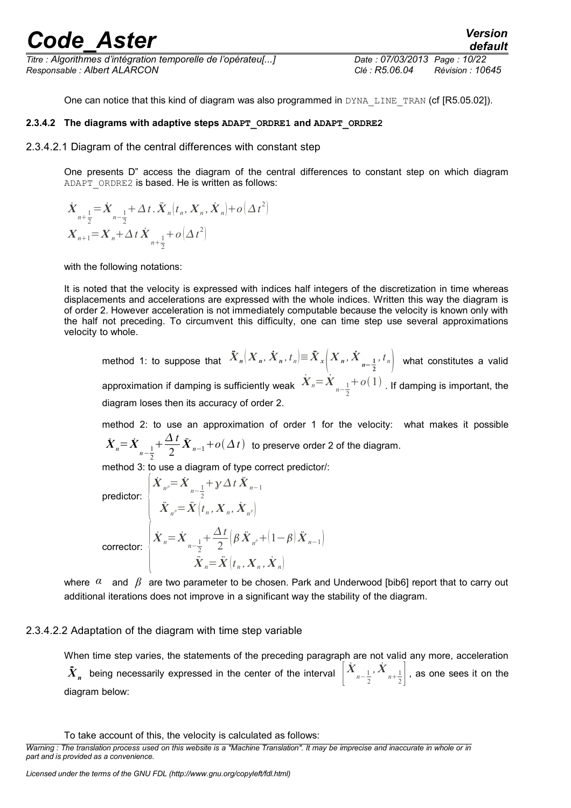*Titre : Algorithmes d'intégration temporelle de l'opérateu[...] Date : 07/03/2013 Page : 10/22 Responsable : Albert ALARCON Clé : R5.06.04 Révision : 10645*

*default*

<span id="page-9-2"></span>One can notice that this kind of diagram was also programmed in DYNA LINE TRAN (cf [R5.05.02]).

#### **2.3.4.2 The diagrams with adaptive steps ADAPT\_ORDRE1 and ADAPT\_ORDRE2**

2.3.4.2.1 Diagram of the central differences with constant step

<span id="page-9-1"></span>One presents D" access the diagram of the central differences to constant step on which diagram ADAPT\_ORDRE2 is based. He is written as follows:

$$
\dot{X}_{n+\frac{1}{2}} = \dot{X}_{n-\frac{1}{2}} + \Delta t \cdot \ddot{X}_{n} \left( t_{n}, X_{n}, \dot{X}_{n} \right) + o\left( \Delta t^{2} \right)
$$
\n
$$
X_{n+1} = X_{n} + \Delta t \dot{X}_{n+\frac{1}{2}} + o\left( \Delta t^{2} \right)
$$

with the following notations:

It is noted that the velocity is expressed with indices half integers of the discretization in time whereas displacements and accelerations are expressed with the whole indices. Written this way the diagram is of order 2. However acceleration is not immediately computable because the velocity is known only with the half not preceding. To circumvent this difficulty, one can time step use several approximations velocity to whole.

method 1: to suppose that  $\ddot{X}_n\bigl(X_n,\dot{X}_n,t_n\bigl)\equiv \ddot{X}_x\Bigl(X_n,\dot{X}_{n-1}\Bigr)$ **2** *,t <sup>n</sup>* what constitutes a valid approximation if damping is sufficiently weak  $\left|{\dot{X}}_n\right|{=}\dot{{X}}_{n-\frac{1}{2}}$ 2  $+ o(1)$  . If damping is important, the diagram loses then its accuracy of order 2.

method 2: to use an approximation of order 1 for the velocity: what makes it possible  $\dot{X}_n = \dot{X}$ <sub>n− $\frac{1}{2}$ </sub>  $+\frac{\Delta t}{2}$ 2  $\ddot{\pmb{X}}_{n-1}$  +  $o(\varDelta\,t)\;$  to preserve order 2 of the diagram.

2 method 3: to use a diagram of type correct predictor/:

predictor:  $\begin{array}{|c|c|} \hline \ \end{array}$  $\dot{X}_n = \dot{X}$ <sub>n− $\frac{1}{2}$ </sub> 2  $+\gamma\Delta t\ddot{X}_{n-1}$  $\ddot{X}_{n^p} = \ddot{X} \left[ t_n, X_n, \dot{X}_{n^p} \right]$ corrector:  $\vert$  $\dot{X}_n = \dot{X}$ <sub>n− $\frac{1}{2}$ </sub> 2  $+\frac{\Delta t}{2}$  $\frac{\Delta l}{2} \left( \beta \ddot{X}_{n^p} + (1-\beta) \ddot{X}_{n-1} \right)$  $\ddot{\boldsymbol{X}}_n = \ddot{\boldsymbol{X}} \left[ t_n, \boldsymbol{X}_n, \dot{\boldsymbol{X}}_n \right]$ 

where *α* and *β* are two parameter to be chosen. Park and Underwood [bib6] report that to carry out additional iterations does not improve in a significant way the stability of the diagram.

#### 2.3.4.2.2 Adaptation of the diagram with time step variable

<span id="page-9-0"></span>When time step varies, the statements of the preceding paragraph are not valid any more, acceleration  $\ddot{\bm{X}}_n$  being necessarily expressed in the center of the interval  $\begin{bmatrix} \dot{X} & -\frac{1}{2} \end{bmatrix}$ 2  $\left. \frac{\dot{X}}{x_{n+\tfrac{1}{2}}} \right|$  , as one sees it on the diagram below:

To take account of this, the velocity is calculated as follows:

*Warning : The translation process used on this website is a "Machine Translation". It may be imprecise and inaccurate in whole or in part and is provided as a convenience.*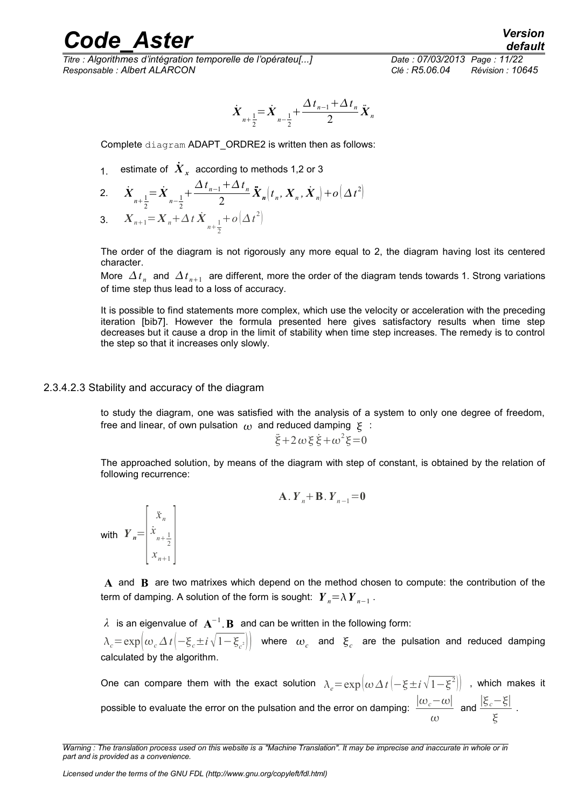*Titre : Algorithmes d'intégration temporelle de l'opérateu[...] Date : 07/03/2013 Page : 11/22 Responsable : Albert ALARCON Clé : R5.06.04 Révision : 10645*

$$
\dot{X}_{n+\frac{1}{2}} = \dot{X}_{n-\frac{1}{2}} + \frac{\Delta t_{n-1} + \Delta t_n}{2} \ddot{X}_n
$$

Complete diagram ADAPT\_ORDRE2 is written then as follows:

1. estimate of  $\boldsymbol{\dot{X}}_x$  according to methods 1,2 or 3

2. 
$$
\dot{X}_{n+\frac{1}{2}} = \dot{X}_{n-\frac{1}{2}} + \frac{\Delta t_{n-1} + \Delta t_n}{2} \ddot{X}_n(t_n, X_n, \dot{X}_n) + o(\Delta t^2)
$$
  
3. 
$$
X_{n+1} = X_n + \Delta t \dot{X}_{n+\frac{1}{2}} + o(\Delta t^2)
$$

The order of the diagram is not rigorously any more equal to 2, the diagram having lost its centered character.

More  $\varDelta\,t_{_n}$  and  $\varDelta\,t_{_{n+1}}$  are different, more the order of the diagram tends towards 1. Strong variations of time step thus lead to a loss of accuracy.

It is possible to find statements more complex, which use the velocity or acceleration with the preceding iteration [bib7]. However the formula presented here gives satisfactory results when time step decreases but it cause a drop in the limit of stability when time step increases. The remedy is to control the step so that it increases only slowly.

#### 2.3.4.2.3 Stability and accuracy of the diagram

<span id="page-10-0"></span>to study the diagram, one was satisfied with the analysis of a system to only one degree of freedom, free and linear, of own pulsation  $\omega$  and reduced damping  $\Sigma$ :

$$
\ddot{\xi} + 2\omega\xi\dot{\xi} + \omega^2\xi = 0
$$

The approached solution, by means of the diagram with step of constant, is obtained by the relation of following recurrence:

 $A \cdot Y_{n} + B \cdot Y_{n-1} = 0$ 

with  $Y_{n}$ =  $\vert$   $\vert$ *x*¨ *n*  $\frac{\dot{x}}{x_{n+\frac{1}{2}}}$  $\begin{vmatrix} x \\ x_{n+1} \end{vmatrix}$ 

**A** and **B** are two matrixes which depend on the method chosen to compute: the contribution of the term of damping. A solution of the form is sought:  $\left| \bm Y_n\!=\!\lambda\bm Y_{n-1} \right|$  .

 $\lambda$  is an eigenvalue of  $\mathbf{A}^{-1}$ .  $\mathbf{B}$  and can be written in the following form:

 $\lambda_c$ = $\exp[\omega_c\,\Delta\,t\,[-\xi_c\pm i\,\sqrt{1-\xi_{c^2}}]\big)$  where  $\omega_c$  and  $\xi_c$  are the pulsation and reduced damping calculated by the algorithm.

One can compare them with the exact solution  $\frac{}{}\lambda_e\!=\!\exp[\omega\,\Delta\,t\,[-\xi\pm i\,\sqrt{1-\xi^2}]\!]$  , which makes it possible to evaluate the error on the pulsation and the error on damping:  $\frac{\left|\omega_{c}-\omega\right|}{\sqrt{\frac{1}{\epsilon}}$  $\omega$ and  $\frac{|\xi_c-\xi|}{|E_c|}$ ξ .

*Warning : The translation process used on this website is a "Machine Translation". It may be imprecise and inaccurate in whole or in part and is provided as a convenience.*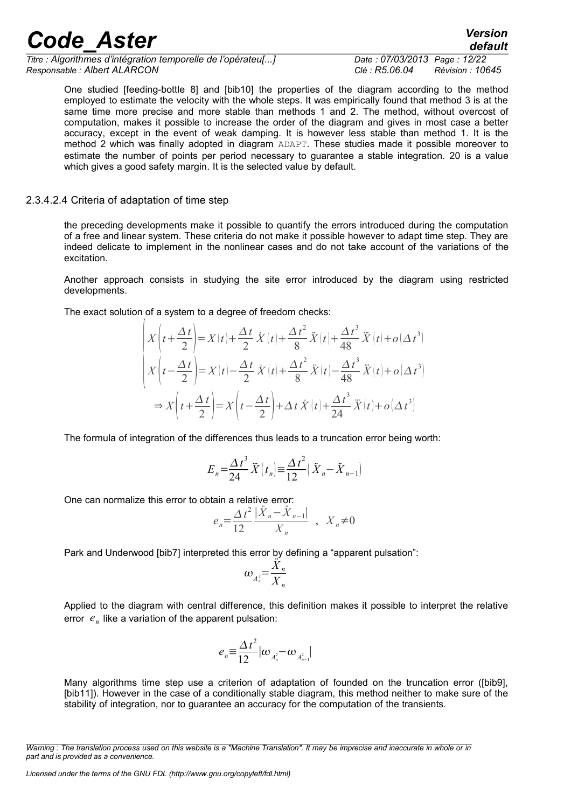*Titre : Algorithmes d'intégration temporelle de l'opérateu[...] Date : 07/03/2013 Page : 12/22 Responsable : Albert ALARCON Clé : R5.06.04 Révision : 10645*

*default*

One studied [feeding-bottle 8] and [bib10] the properties of the diagram according to the method employed to estimate the velocity with the whole steps. It was empirically found that method 3 is at the same time more precise and more stable than methods 1 and 2. The method, without overcost of computation, makes it possible to increase the order of the diagram and gives in most case a better accuracy, except in the event of weak damping. It is however less stable than method 1. It is the method 2 which was finally adopted in diagram ADAPT. These studies made it possible moreover to estimate the number of points per period necessary to guarantee a stable integration. 20 is a value which gives a good safety margin. It is the selected value by default.

#### 2.3.4.2.4 Criteria of adaptation of time step

 $\sqrt{ }$ 

<span id="page-11-0"></span>the preceding developments make it possible to quantify the errors introduced during the computation of a free and linear system. These criteria do not make it possible however to adapt time step. They are indeed delicate to implement in the nonlinear cases and do not take account of the variations of the excitation.

Another approach consists in studying the site error introduced by the diagram using restricted developments.

The exact solution of a system to a degree of freedom checks:

$$
\begin{aligned}\n\left| X \left( t + \frac{\Delta t}{2} \right) &= X(t) + \frac{\Delta t}{2} \dot{X}(t) + \frac{\Delta t^2}{8} \ddot{X}(t) + \frac{\Delta t^3}{48} \ddot{X}(t) + o\left( \Delta t^3 \right) \\
X \left( t - \frac{\Delta t}{2} \right) &= X(t) - \frac{\Delta t}{2} \dot{X}(t) + \frac{\Delta t^2}{8} \ddot{X}(t) - \frac{\Delta t^3}{48} \ddot{X}(t) + o\left( \Delta t^3 \right) \\
&\Rightarrow X \left( t + \frac{\Delta t}{2} \right) &= X \left( t - \frac{\Delta t}{2} \right) + \Delta t \dot{X}(t) + \frac{\Delta t^3}{24} \ddot{X}(t) + o\left( \Delta t^3 \right)\n\end{aligned}
$$

The formula of integration of the differences thus leads to a truncation error being worth:

$$
E_n = \frac{\Delta t^3}{24} \ddot{X} \left( t_n \right) \equiv \frac{\Delta t^2}{12} \left( \ddot{X}_n - \ddot{X}_{n-1} \right)
$$

One can normalize this error to obtain a relative error:

$$
e_n = \frac{\Delta t^2}{12} \frac{|\ddot{X}_n - \ddot{X}_{n-1}|}{X_n} , X_n \neq 0
$$

Park and Underwood [bib7] interpreted this error by defining a "apparent pulsation":

$$
\omega_{A_n^2} = \frac{\tilde{X}_n}{X_n}
$$

Applied to the diagram with central difference, this definition makes it possible to interpret the relative error *e<sup>n</sup>* like a variation of the apparent pulsation:

$$
e_n \equiv \frac{\Delta t^2}{12} |\omega_{A_n^2} - \omega_{A_{n-1}^2}|
$$

Many algorithms time step use a criterion of adaptation of founded on the truncation error ([bib9], [bib11]). However in the case of a conditionally stable diagram, this method neither to make sure of the stability of integration, nor to guarantee an accuracy for the computation of the transients.

*Warning : The translation process used on this website is a "Machine Translation". It may be imprecise and inaccurate in whole or in part and is provided as a convenience.*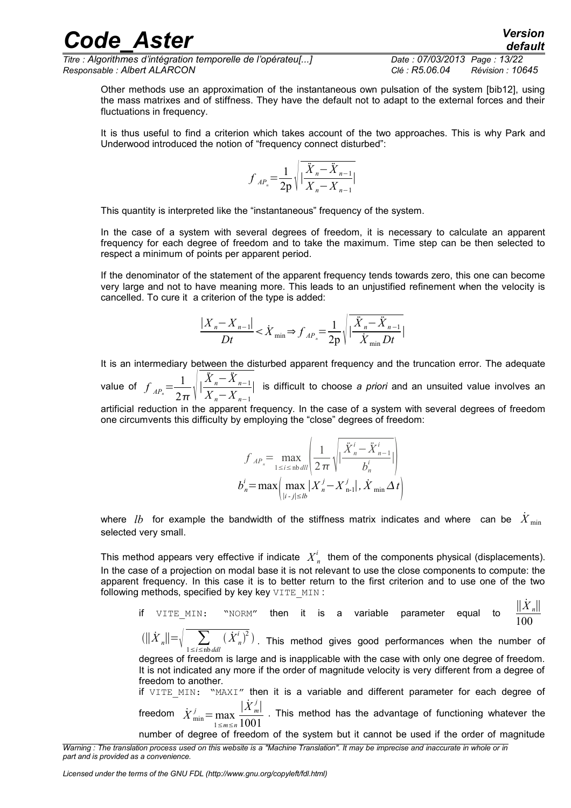*Titre : Algorithmes d'intégration temporelle de l'opérateu[...] Date : 07/03/2013 Page : 13/22 Responsable : Albert ALARCON Clé : R5.06.04 Révision : 10645*

Other methods use an approximation of the instantaneous own pulsation of the system [bib12], using the mass matrixes and of stiffness. They have the default not to adapt to the external forces and their fluctuations in frequency.

It is thus useful to find a criterion which takes account of the two approaches. This is why Park and Underwood introduced the notion of "frequency connect disturbed":

$$
f_{AP_n} = \frac{1}{2p} \sqrt{\left| \frac{\ddot{X}_n - \ddot{X}_{n-1}}{X_n - X_{n-1}} \right|}
$$

This quantity is interpreted like the "instantaneous" frequency of the system.

In the case of a system with several degrees of freedom, it is necessary to calculate an apparent frequency for each degree of freedom and to take the maximum. Time step can be then selected to respect a minimum of points per apparent period.

If the denominator of the statement of the apparent frequency tends towards zero, this one can become very large and not to have meaning more. This leads to an unjustified refinement when the velocity is cancelled. To cure it a criterion of the type is added:

$$
\frac{|X_{n}-X_{n-1}|}{Dt} < \dot{X}_{\min} \Rightarrow f_{AP_{n}} = \frac{1}{2p} \sqrt{\frac{\dot{X}_{n}-\ddot{X}_{n-1}}{\dot{X}_{\min} Dt}}
$$

It is an intermediary between the disturbed apparent frequency and the truncation error. The adequate value of  $f$   $_{AP_n} = \frac{1}{2\pi} \sqrt{\frac{X}{X}}$  $\ddot{X}_n - \ddot{X}_{n-1}$  $X_n - X_{n-1}$ ∣ is difficult to choose *a priori* and an unsuited value involves an

artificial reduction in the apparent frequency. In the case of a system with several degrees of freedom one circumvents this difficulty by employing the "close" degrees of freedom:

$$
f_{AP_n} = \max_{1 \le i \le \text{nb}} \left( \frac{1}{2 \pi} \sqrt{\left| \frac{\ddot{X}_n^i - \ddot{X}_{n-1}^i}{b_n^i} \right|} \right)
$$
  

$$
b_n^i = \max \left( \max_{|i-j| \le lb} |X_n^j - X_{n-1}^j|, \dot{X}_{\min} \Delta t \right)
$$

where  $\it lb$  for example the bandwidth of the stiffness matrix indicates and where can be  $\dot X_{\rm min}$ selected very small.

This method appears very effective if indicate  $X_n^i$  them of the components physical (displacements). In the case of a projection on modal base it is not relevant to use the close components to compute: the apparent frequency. In this case it is to better return to the first criterion and to use one of the two following methods, specified by key key VITE MIN :

if VITE\_MIN: "NORM" then it is a variable parameter equal to  $||\dot{X}_n||$ 100

 $(||\dot{X}_n|| = \sqrt{\sum_{1 \le i \le \text{nb} \text{ d}d}}$  $(\dot{X}^i_n)$  $\binom{n}{n}^2$ ). This method gives good performances when the number of

degrees of freedom is large and is inapplicable with the case with only one degree of freedom. It is not indicated any more if the order of magnitude velocity is very different from a degree of freedom to another.

if VITE MIN: "MAXI" then it is a variable and different parameter for each degree of ∣*X*˙ *m j* ∣

freedom  $\dot X^j_{\rm min} \! = \! {\rm max}$ 1≤*m*≤*n* 1001 . This method has the advantage of functioning whatever the

number of degree of freedom of the system but it cannot be used if the order of magnitude

*Warning : The translation process used on this website is a "Machine Translation". It may be imprecise and inaccurate in whole or in part and is provided as a convenience.*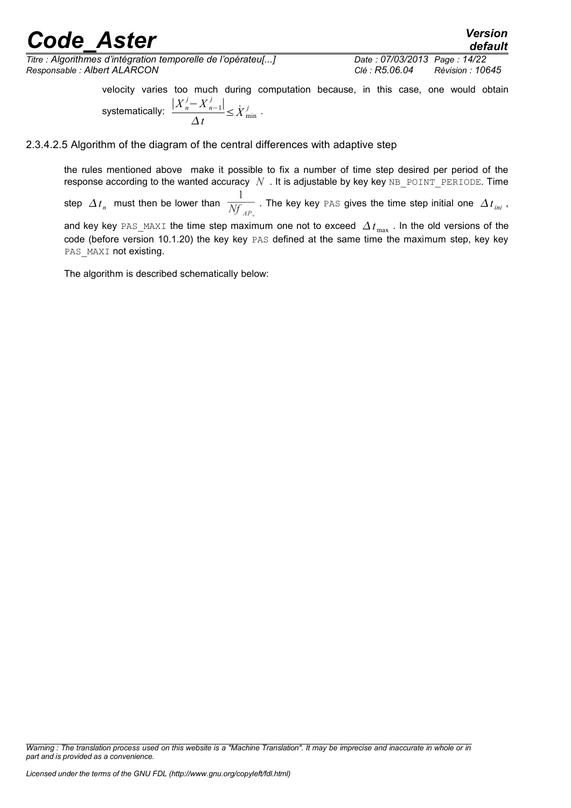*default*

*Titre : Algorithmes d'intégration temporelle de l'opérateu[...] Date : 07/03/2013 Page : 14/22 Responsable : Albert ALARCON Clé : R5.06.04 Révision : 10645*

velocity varies too much during computation because, in this case, one would obtain systematically:  $\frac{|X_n^j - X_{n-1}^j|}{|X_n^j - X_{n-1}^j|}$ *t*  $\leq \dot{X}^j_{\min}$ *j* .

#### 2.3.4.2.5 Algorithm of the diagram of the central differences with adaptive step

<span id="page-13-0"></span>the rules mentioned above make it possible to fix a number of time step desired per period of the response according to the wanted accuracy  $N$ . It is adjustable by key key NB\_POINT\_PERIODE. Time step  $\Delta t_n$  must then be lower than 1  $\overline{\mathit{Nf}\,_{AP_{n}}}$  . The key key PAS gives the time step initial one  $\varDelta\,t_{\mathit{ini}}$  , and key key <code>PAS\_MAXI</code> the time step maximum one not to exceed  $\Delta t_\text{max}$  . In the old versions of the code (before version 10.1.20) the key key PAS defined at the same time the maximum step, key key PAS MAXI not existing.

The algorithm is described schematically below:

*Warning : The translation process used on this website is a "Machine Translation". It may be imprecise and inaccurate in whole or in part and is provided as a convenience.*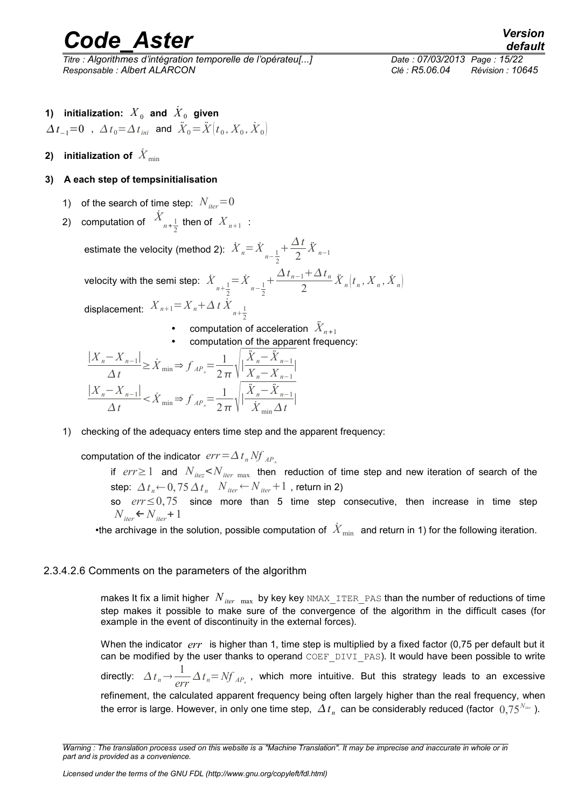*Titre : Algorithmes d'intégration temporelle de l'opérateu[...] Date : 07/03/2013 Page : 15/22 Responsable : Albert ALARCON Clé : R5.06.04 Révision : 10645*

*default*

- **1)** initialization:  $\overline{X}_0$  and  $\overline{\dot{X}}_0$  given  $\Delta t_{-1}$ =0 ,  $\Delta t_0$ = $\Delta t_{ini}$  and  $\ddot{X}_0$ = $\ddot{X}$  $\left(t_0, X_0, \dot{X}_0\right)$
- 2)  $\;$  initialization of  $\,dot{X}_{\min}$

#### **3) A each step of tempsinitialisation**

- 1) of the search of time step:  $N_{iter}=0$
- 2) computation of  $\overline{X}_{n+\frac{1}{2}}$  $\frac{1}{2}$  then of  $X_{n+1}$ :

estimate the velocity (method 2):  $\left| \dot{X} \right|_n = \dot{X}} \right|_{n = \frac{1}{2}}$ 2  $+\frac{\Delta t}{2}$ 2  $\ddot{X}$ <sub>n−1</sub>

velocity with the semi step: 
$$
\dot{X}_{n+\frac{1}{2}} = \dot{X}_{n-\frac{1}{2}} + \frac{\Delta t_{n-1} + \Delta t_n}{2} \ddot{X}_n \left(t_n, X_n, \dot{X}_n\right)
$$

displacement:  $X_{n+1} = X_n + \Delta t \dot{X}_{n+\frac{1}{2}}$ 

- computation of acceleration  $\ddot{X}_{n+1}$
- computation of the apparent frequency:

$$
\frac{|X_{n}-X_{n-1}|}{\Delta t} \geq \dot{X}_{\min} \Rightarrow f_{AP_{n}} = \frac{1}{2\pi} \sqrt{\frac{|\ddot{X}_{n}-\ddot{X}_{n-1}|}{X_{n}-X_{n-1}|}}
$$

$$
\frac{|X_{n}-X_{n-1}|}{\Delta t} < \dot{X}_{\min} \Rightarrow f_{AP_{n}} = \frac{1}{2\pi} \sqrt{\frac{|\ddot{X}_{n}-\ddot{X}_{n-1}|}{\dot{X}_{\min}\Delta t}}
$$

1) checking of the adequacy enters time step and the apparent frequency:

computation of the indicator  $err = \Delta t_n Nf_{AP}$ 

if  $err \geq 1$  and  $N_{iter} \leq N_{iter}$  max then reduction of time step and new iteration of search of the step:  $\Delta t_n \leftarrow 0.75 \Delta t_n$   $N_{iter} \leftarrow N_{iter} + 1$ , return in 2)

so *err*≤0,75 since more than 5 time step consecutive, then increase in time step  $N$ <sub>iter</sub> ←  $N$ <sub>iter</sub> + 1

•the archivage in the solution, possible computation of  $\,{\dot X}_{\min}\,$  and return in 1) for the following iteration.

#### 2.3.4.2.6 Comments on the parameters of the algorithm

<span id="page-14-0"></span>makes It fix a limit higher  $N_{iter \max}$  by key key NMAX\_ITER\_PAS than the number of reductions of time step makes it possible to make sure of the convergence of the algorithm in the difficult cases (for example in the event of discontinuity in the external forces).

When the indicator *err* is higher than 1, time step is multiplied by a fixed factor (0,75 per default but it can be modified by the user thanks to operand COEF DIVI\_PAS). It would have been possible to write directly:  $\Delta t_n \rightarrow \frac{1}{\alpha t}$  $\frac{1}{\text{err}} \Delta t_n = Nf_{AP_n}$ , which more intuitive. But this strategy leads to an excessive refinement, the calculated apparent frequency being often largely higher than the real frequency, when the error is large. However, in only one time step,  $\varDelta\,t_{_n}$  can be considerably reduced (factor  $\,0,\!75^{N_{\it inc}}$  ).

*Warning : The translation process used on this website is a "Machine Translation". It may be imprecise and inaccurate in whole or in part and is provided as a convenience.*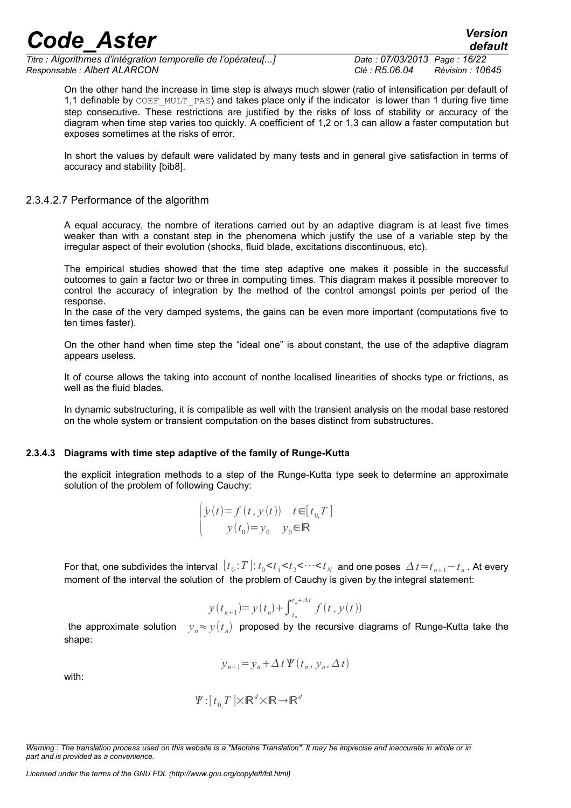*Titre : Algorithmes d'intégration temporelle de l'opérateu[...] Date : 07/03/2013 Page : 16/22 Responsable : Albert ALARCON Clé : R5.06.04 Révision : 10645*

*default*

On the other hand the increase in time step is always much slower (ratio of intensification per default of 1,1 definable by COEF\_MULT\_PAS) and takes place only if the indicator is lower than 1 during five time step consecutive. These restrictions are justified by the risks of loss of stability or accuracy of the diagram when time step varies too quickly. A coefficient of 1,2 or 1,3 can allow a faster computation but exposes sometimes at the risks of error.

In short the values by default were validated by many tests and in general give satisfaction in terms of accuracy and stability [bib8].

#### 2.3.4.2.7 Performance of the algorithm

<span id="page-15-1"></span>A equal accuracy, the nombre of iterations carried out by an adaptive diagram is at least five times weaker than with a constant step in the phenomena which justify the use of a variable step by the irregular aspect of their evolution (shocks, fluid blade, excitations discontinuous, etc).

The empirical studies showed that the time step adaptive one makes it possible in the successful outcomes to gain a factor two or three in computing times. This diagram makes it possible moreover to control the accuracy of integration by the method of the control amongst points per period of the response.

In the case of the very damped systems, the gains can be even more important (computations five to ten times faster).

On the other hand when time step the "ideal one" is about constant, the use of the adaptive diagram appears useless.

It of course allows the taking into account of nonthe localised linearities of shocks type or frictions, as well as the fluid blades.

In dynamic substructuring, it is compatible as well with the transient analysis on the modal base restored on the whole system or transient computation on the bases distinct from substructures.

#### **2.3.4.3 Diagrams with time step adaptive of the family of Runge-Kutta**

<span id="page-15-0"></span>the explicit integration methods to a step of the Runge-Kutta type seek to determine an approximate solution of the problem of following Cauchy:

$$
\begin{cases} \dot{y}(t) = f(t, y(t)) & t \in [t_0, T] \\ y(t_0) = y_0 & y_0 \in \mathbb{R} \end{cases}
$$

For that, one subdivides the interval  $[t_0:T]$ :  $t_0$ < $t_1$ < $t_2$ < $\cdots$ < $t_N$  and one poses  $\ \varDelta\ t\!=\!t_{n+1}\!-t_n$  . At every moment of the interval the solution of the problem of Cauchy is given by the integral statement:

$$
y(t_{n+1}) = y(t_n) + \int_{t_n}^{t_n + \Delta t} f(t, y(t))
$$

the approximate solution  $y_n \approx y(t_n)$  proposed by the recursive diagrams of Runge-Kutta take the shape:

$$
y_{n+1} = y_n + \Delta t \, \Psi(t_n, y_n, \Delta t)
$$

with:

$$
\Psi: [t_0, T] \times \mathbb{R}^d \times \mathbb{R} \to \mathbb{R}^d
$$

*Licensed under the terms of the GNU FDL (http://www.gnu.org/copyleft/fdl.html)*

*Warning : The translation process used on this website is a "Machine Translation". It may be imprecise and inaccurate in whole or in part and is provided as a convenience.*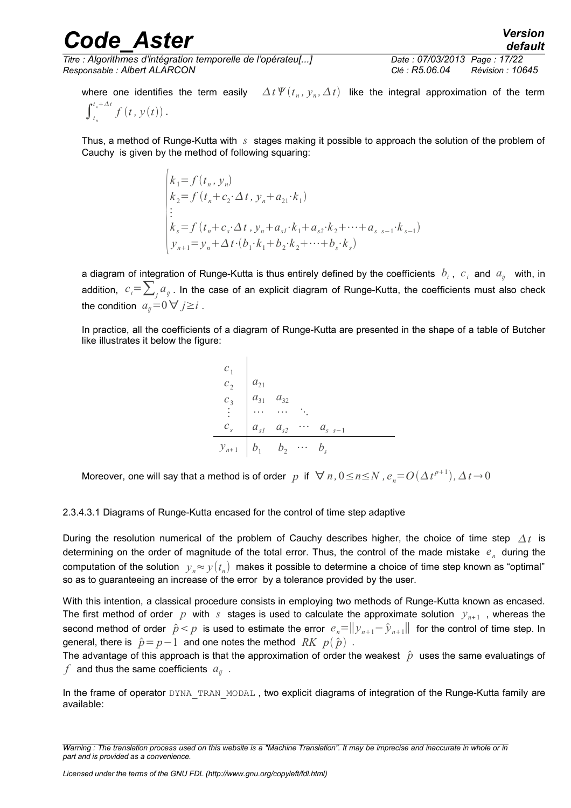*Titre : Algorithmes d'intégration temporelle de l'opérateu[...] Date : 07/03/2013 Page : 17/22 Responsable : Albert ALARCON Clé : R5.06.04 Révision : 10645*

where one identifies the term easily ,  $y_n$ ,  $\Delta t$ ) like the integral approximation of the term  $\int_{t_n}^{t_n + \Delta t} f(t, y(t))$ .

Thus, a method of Runge-Kutta with *s* stages making it possible to approach the solution of the problem of Cauchy is given by the method of following squaring:

$$
\begin{cases}\nk_1 = f(t_n, y_n) \\
k_2 = f(t_n + c_2 \cdot \Delta t, y_n + a_{21} \cdot k_1) \\
\vdots \\
k_s = f(t_n + c_s \cdot \Delta t, y_n + a_{s1} \cdot k_1 + a_{s2} \cdot k_2 + \dots + a_{s_{s-1}} \cdot k_{s-1}) \\
y_{n+1} = y_n + \Delta t \cdot (b_1 \cdot k_1 + b_2 \cdot k_2 + \dots + b_s \cdot k_s)\n\end{cases}
$$

a diagram of integration of Runge-Kutta is thus entirely defined by the coefficients  $b_i$  ,  $c_i$  and  $a_{ij}$  with, in addition,  $\;c_i\!\!=\!\sum_ja_{\bar{i}\!j}$  . In the case of an explicit diagram of Runge-Kutta, the coefficients must also check the condition  $a_{ij}=0 \forall j \geq i$ .

In practice, all the coefficients of a diagram of Runge-Kutta are presented in the shape of a table of Butcher like illustrates it below the figure:

$$
\begin{array}{c|cccc}\n c_1 & & & & & \\
c_2 & a_{21} & & & & \\
c_3 & a_{31} & a_{32} & & & \\
\vdots & \cdots & \cdots & \ddots & & \\
c_s & a_{s1} & a_{s2} & \cdots & a_{s_{s-1}} \\
y_{n+1} & b_1 & b_2 & \cdots & b_s\n\end{array}
$$

Moreover, one will say that a method is of order  $~p~$  if  $~\forall~n, 0\!\leq\! n\!\leq\!N$  *,*  $e_n\!\!=\!O\left(\Delta\,t^{p+1}\right)$  *,*  $\Delta\,t\!\to\!0$ 

<span id="page-16-0"></span>2.3.4.3.1 Diagrams of Runge-Kutta encased for the control of time step adaptive

During the resolution numerical of the problem of Cauchy describes higher, the choice of time step  $\Delta t$  is determining on the order of magnitude of the total error. Thus, the control of the made mistake *e<sup>n</sup>* during the computation of the solution  $\;y_n\!\approx y(t_n)\;$  makes it possible to determine a choice of time step known as "optimal" so as to guaranteeing an increase of the error by a tolerance provided by the user.

With this intention, a classical procedure consists in employing two methods of Runge-Kutta known as encased. The first method of order *p* with *s* stages is used to calculate the approximate solution *y<sup>n</sup>*+<sup>1</sup> , whereas the second method of order  $\hat{p}$  < p is used to estimate the error  $e_n = ||y_{n+1} - \hat{y}_{n+1}||$  for the control of time step. In general, there is  $\hat{p} = p-1$  and one notes the method RK  $p(\hat{p})$ .

The advantage of this approach is that the approximation of order the weakest  $\hat{p}$  uses the same evaluatings of  $f$  and thus the same coefficients  $a_{ij}$ .

In the frame of operator DYNA\_TRAN\_MODAL, two explicit diagrams of integration of the Runge-Kutta family are available:

*Warning : The translation process used on this website is a "Machine Translation". It may be imprecise and inaccurate in whole or in part and is provided as a convenience.*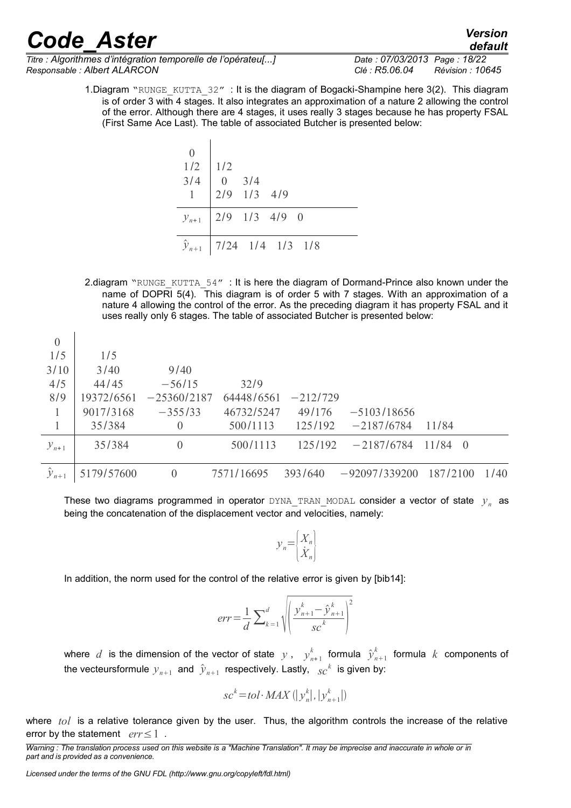*default*

*Titre : Algorithmes d'intégration temporelle de l'opérateu[...] Date : 07/03/2013 Page : 18/22 Responsable : Albert ALARCON Clé : R5.06.04 Révision : 10645*

1.Diagram "RUNGE\_KUTTA\_32" : It is the diagram of Bogacki-Shampine here 3(2). This diagram is of order 3 with 4 stages. It also integrates an approximation of a nature 2 allowing the control of the error. Although there are 4 stages, it uses really 3 stages because he has property FSAL (First Same Ace Last). The table of associated Butcher is presented below:

| $\begin{array}{c cc}\n0 & 1/2 & 1/2 \\ 3/4 & 0 & 3/4 \\ 1 & 2/9 & 1/3 & 4/9\n\end{array}$ |  |  |  |
|-------------------------------------------------------------------------------------------|--|--|--|
| $y_{n+1}$   2/9 1/3 4/9 0                                                                 |  |  |  |
| $\hat{y}_{n+1}$ 7/24 1/4 1/3 1/8                                                          |  |  |  |

 $\overline{1}$ 

2.diagram "RUNGE\_KUTTA\_54" : It is here the diagram of Dormand-Prince also known under the name of DOPRI 5(4). This diagram is of order 5 with 7 stages. With an approximation of a nature 4 allowing the control of the error. As the preceding diagram it has property FSAL and it uses really only 6 stages. The table of associated Butcher is presented below:

| $\overline{0}$  |            |               |            |            |                 |                   |      |
|-----------------|------------|---------------|------------|------------|-----------------|-------------------|------|
| 1/5             | 1/5        |               |            |            |                 |                   |      |
| 3/10            | 3/40       | 9/40          |            |            |                 |                   |      |
| 4/5             | 44/45      | $-56/15$      | 32/9       |            |                 |                   |      |
| 8/9             | 19372/6561 | $-25360/2187$ | 64448/6561 | $-212/729$ |                 |                   |      |
| 1               | 9017/3168  | $-355/33$     | 46732/5247 | 49/176     | $-5103/18656$   |                   |      |
|                 | 35/384     | $\theta$      | 500/1113   | 125/192    | $-2187/6784$    | 11/84             |      |
| $y_{n+1}$       | 35/384     | $\Omega$      | 500/1113   | 125/192    | $-2187/6784$    | 11/84<br>$\theta$ |      |
| $\hat{y}_{n+1}$ | 5179/57600 | $\theta$      | 7571/16695 | 393/640    | $-92097/339200$ | 187/2100          | 1/40 |

These two diagrams programmed in operator DYNA\_TRAN\_MODAL consider a vector of state *y<sup>n</sup>* as being the concatenation of the displacement vector and velocities, namely:

$$
y_n = \begin{cases} X_n \\ \dot{X}_n \end{cases}
$$

In addition, the norm used for the control of the relative error is given by [bib14]:

$$
err = \frac{1}{d} \sum_{k=1}^{d} \sqrt{\left(\frac{y_{n+1}^{k} - \hat{y}_{n+1}^{k}}{sc^{k}}\right)^{2}}
$$

where  $d$  is the dimension of the vector of state  $y$  ,  $y^{k}_{n+1}$  formula  $\hat{y}^{k}_{n+1}$  formula  $k$  components of the vecteursformule  ${\cal Y}_{n+1}$  and  $\hat{\cal Y}_{n+1}$  respectively. Lastly,  $\ _{SC}{}^k\;$  is given by:

$$
sck=tol·MAX(|ynk|, |yn+1k|)
$$

where *tol* is a relative tolerance given by the user. Thus, the algorithm controls the increase of the relative error by the statement *err*≤1 .

*Licensed under the terms of the GNU FDL (http://www.gnu.org/copyleft/fdl.html)*

*Warning : The translation process used on this website is a "Machine Translation". It may be imprecise and inaccurate in whole or in part and is provided as a convenience.*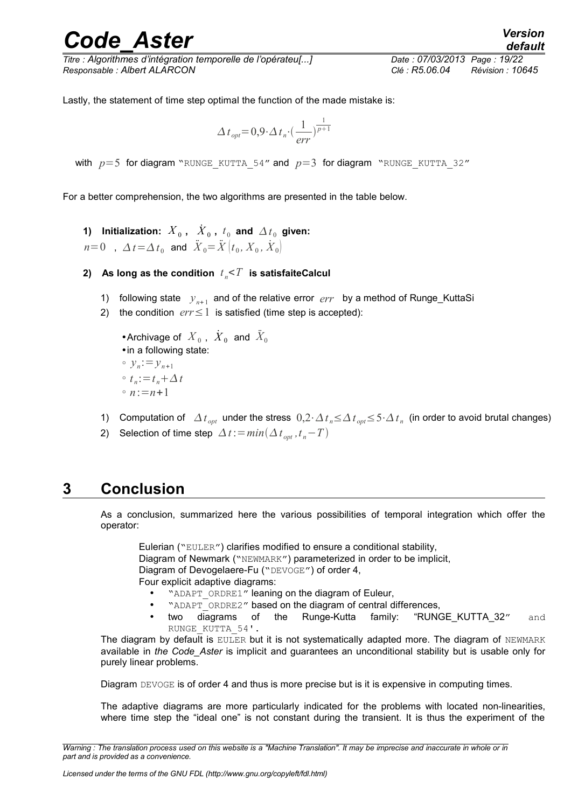*Titre : Algorithmes d'intégration temporelle de l'opérateu[...] Date : 07/03/2013 Page : 19/22 Responsable : Albert ALARCON Clé : R5.06.04 Révision : 10645*

Lastly, the statement of time step optimal the function of the made mistake is:

$$
\Delta t_{opt} = 0.9 \cdot \Delta t_n \cdot \left(\frac{1}{err}\right)^{\frac{1}{p+1}}
$$

with  $p=5$  for diagram "RUNGE\_KUTTA\_54" and  $p=3$  for diagram "RUNGE\_KUTTA\_32"

For a better comprehension, the two algorithms are presented in the table below.

**1)** Initialization:  $\overline{X}_0$ ,  $\overline{X}_0$ ,  $t_0$  and  $\Delta t_0$  given: *n*=0,  $\Delta t = \Delta t_0$  and  $\ddot{X}_0 = \ddot{X} (t_0, X_0, \dot{X}_0)$ 

- **2) As long as the condition** *t <sup>n</sup>*<*T* **is satisfaiteCalcul**
	- 1) following state  $y_{n+1}$  and of the relative error  $err$  by a method of Runge\_KuttaSi
	- 2) the condition *err*≤1 is satisfied (time step is accepted):

• Archivage of  $\overline{X}_0$ ,  $\overline{X}_0$  and  $\overline{X}_0$ •in a following state:  $\circ$   $y_n := y_{n+1}$  $\circ$   $t_n := t_n + \Delta t$  $n := n + 1$ 

- 1) Computation of  $\Delta t_{opt}$  under the stress  $0,2\cdot \Delta t_n \leq \Delta t_{opt} \leq 5\cdot \Delta t_n$  (in order to avoid brutal changes)
- 2) Selection of time step  $\Delta t$  :=*min*( $\Delta t$ <sub>ont</sub>,  $t_n$ -*T*)

### **3 Conclusion**

<span id="page-18-0"></span>As a conclusion, summarized here the various possibilities of temporal integration which offer the operator:

Eulerian ("EULER") clarifies modified to ensure a conditional stability,

Diagram of Newmark ("NEWMARK") parameterized in order to be implicit,

Diagram of Devogelaere-Fu ("DEVOGE") of order 4,

Four explicit adaptive diagrams:

- "ADAPT\_ORDRE1" leaning on the diagram of Euleur,
	- "ADAPT ORDRE2" based on the diagram of central differences,
- two diagrams of the Runge-Kutta family: "RUNGE\_KUTTA\_32" and RUNGE\_KUTTA\_54'.

The diagram by default is EULER but it is not systematically adapted more. The diagram of NEWMARK available in *the Code\_Aster* is implicit and guarantees an unconditional stability but is usable only for purely linear problems.

Diagram DEVOGE is of order 4 and thus is more precise but is it is expensive in computing times.

The adaptive diagrams are more particularly indicated for the problems with located non-linearities, where time step the "ideal one" is not constant during the transient. It is thus the experiment of the

*Warning : The translation process used on this website is a "Machine Translation". It may be imprecise and inaccurate in whole or in part and is provided as a convenience.*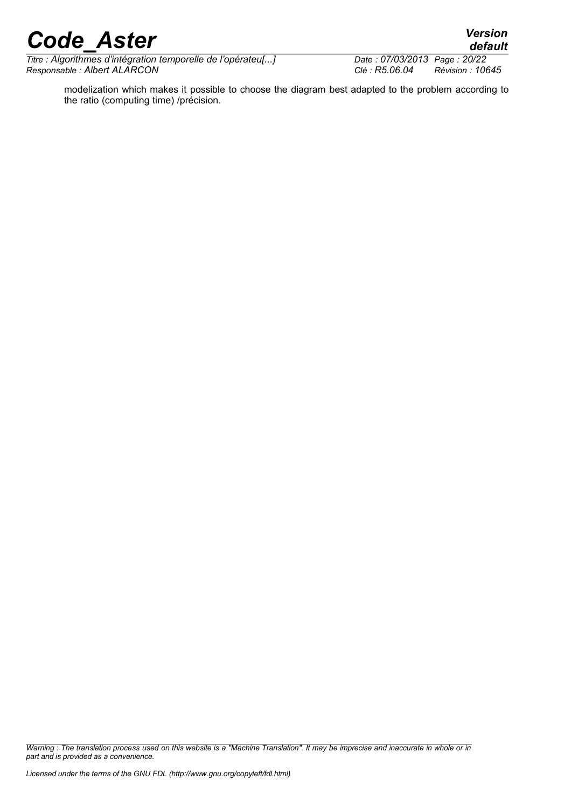*Titre : Algorithmes d'intégration temporelle de l'opérateu[...] Date : 07/03/2014 Date : 07/03/2013 Pasponsable : Albert ALARCON Responsable : Albert ALARCON Clé : R5.06.04 Révision : 10645*

modelization which makes it possible to choose the diagram best adapted to the problem according to the ratio (computing time) /précision.

*Warning : The translation process used on this website is a "Machine Translation". It may be imprecise and inaccurate in whole or in part and is provided as a convenience.*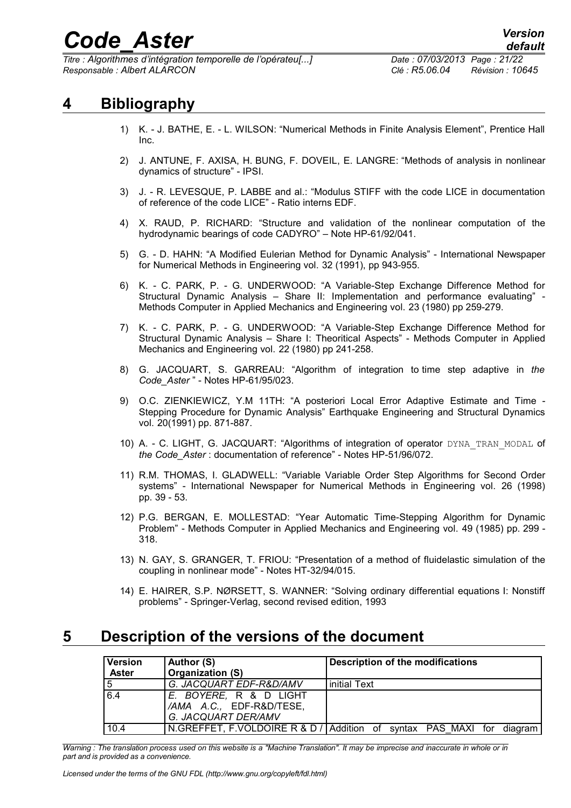*Titre : Algorithmes d'intégration temporelle de l'opérateu[...] Date : 07/03/2013 Page : 21/22 Responsable : Albert ALARCON Clé : R5.06.04 Révision : 10645*

*default*

### **4 Bibliography**

- <span id="page-20-1"></span>1) K. - J. BATHE, E. - L. WILSON: "Numerical Methods in Finite Analysis Element", Prentice Hall Inc.
- 2) J. ANTUNE, F. AXISA, H. BUNG, F. DOVEIL, E. LANGRE: "Methods of analysis in nonlinear dynamics of structure" - IPSI.
- 3) J. R. LEVESQUE, P. LABBE and al.: "Modulus STIFF with the code LICE in documentation of reference of the code LICE" - Ratio interns EDF.
- 4) X. RAUD, P. RICHARD: "Structure and validation of the nonlinear computation of the hydrodynamic bearings of code CADYRO" – Note HP-61/92/041.
- 5) G. D. HAHN: "A Modified Eulerian Method for Dynamic Analysis" International Newspaper for Numerical Methods in Engineering vol. 32 (1991), pp 943-955.
- 6) K. C. PARK, P. G. UNDERWOOD: "A Variable-Step Exchange Difference Method for Structural Dynamic Analysis – Share II: Implementation and performance evaluating" - Methods Computer in Applied Mechanics and Engineering vol. 23 (1980) pp 259-279.
- 7) K. C. PARK, P. G. UNDERWOOD: "A Variable-Step Exchange Difference Method for Structural Dynamic Analysis – Share I: Theoritical Aspects" - Methods Computer in Applied Mechanics and Engineering vol. 22 (1980) pp 241-258.
- 8) G. JACQUART, S. GARREAU: "Algorithm of integration to time step adaptive in *the Code\_Aster* " - Notes HP-61/95/023.
- 9) O.C. ZIENKIEWICZ, Y.M 11TH: "A posteriori Local Error Adaptive Estimate and Time Stepping Procedure for Dynamic Analysis" Earthquake Engineering and Structural Dynamics vol. 20(1991) pp. 871-887.
- 10) A. C. LIGHT, G. JACQUART: "Algorithms of integration of operator DYNA TRAN MODAL of *the Code\_Aster* : documentation of reference" - Notes HP-51/96/072.
- 11) R.M. THOMAS, I. GLADWELL: "Variable Variable Order Step Algorithms for Second Order systems" - International Newspaper for Numerical Methods in Engineering vol. 26 (1998) pp. 39 - 53.
- 12) P.G. BERGAN, E. MOLLESTAD: "Year Automatic Time-Stepping Algorithm for Dynamic Problem" - Methods Computer in Applied Mechanics and Engineering vol. 49 (1985) pp. 299 - 318.
- 13) N. GAY, S. GRANGER, T. FRIOU: "Presentation of a method of fluidelastic simulation of the coupling in nonlinear mode" - Notes HT-32/94/015.
- 14) E. HAIRER, S.P. NØRSETT, S. WANNER: "Solving ordinary differential equations I: Nonstiff problems" - Springer-Verlag, second revised edition, 1993

### **5 Description of the versions of the document**

<span id="page-20-0"></span>

| <b>Version</b> | Author (S)                                                                | <b>Description of the modifications</b>                               |  |  |  |
|----------------|---------------------------------------------------------------------------|-----------------------------------------------------------------------|--|--|--|
| <b>Aster</b>   | <b>Organization (S)</b>                                                   |                                                                       |  |  |  |
|                | G. JACQUART EDF-R&D/AMV                                                   | initial Text                                                          |  |  |  |
| 6.4            | E. BOYERE, R & D LIGHT<br>/AMA A.C., EDF-R&D/TESE,<br>G. JACQUART DER/AMV |                                                                       |  |  |  |
| 10.4           |                                                                           | N.GREFFET, F.VOLDOIRE R & D / Addition of syntax PAS MAXI for diagram |  |  |  |

*Warning : The translation process used on this website is a "Machine Translation". It may be imprecise and inaccurate in whole or in part and is provided as a convenience.*